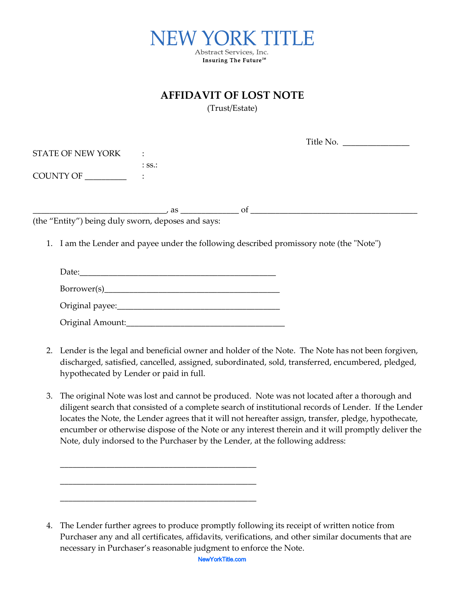

| AFFIDAVIT OF LOST NOTE |  |  |  |
|------------------------|--|--|--|
|------------------------|--|--|--|

(Trust/Estate)

|                                                    |                  | Title No. $\frac{1}{\sqrt{1-\frac{1}{2}}\sqrt{1-\frac{1}{2}}\sqrt{1-\frac{1}{2}}\sqrt{1-\frac{1}{2}}\sqrt{1-\frac{1}{2}}\sqrt{1-\frac{1}{2}}\sqrt{1-\frac{1}{2}}\sqrt{1-\frac{1}{2}}\sqrt{1-\frac{1}{2}}\sqrt{1-\frac{1}{2}}\sqrt{1-\frac{1}{2}}\sqrt{1-\frac{1}{2}}\sqrt{1-\frac{1}{2}}\sqrt{1-\frac{1}{2}}\sqrt{1-\frac{1}{2}}\sqrt{1-\frac{1}{2}}\sqrt{1-\frac{1}{2}}\sqrt{1-\frac{1}{2}}\sqrt{1-\frac{$ |  |
|----------------------------------------------------|------------------|-------------------------------------------------------------------------------------------------------------------------------------------------------------------------------------------------------------------------------------------------------------------------------------------------------------------------------------------------------------------------------------------------------------|--|
| STATE OF NEW YORK :                                |                  |                                                                                                                                                                                                                                                                                                                                                                                                             |  |
|                                                    | $:$ SS $\cdot$ : |                                                                                                                                                                                                                                                                                                                                                                                                             |  |
|                                                    |                  |                                                                                                                                                                                                                                                                                                                                                                                                             |  |
|                                                    |                  |                                                                                                                                                                                                                                                                                                                                                                                                             |  |
|                                                    |                  |                                                                                                                                                                                                                                                                                                                                                                                                             |  |
| (the "Entity") being duly sworn, deposes and says: |                  |                                                                                                                                                                                                                                                                                                                                                                                                             |  |
|                                                    |                  |                                                                                                                                                                                                                                                                                                                                                                                                             |  |
|                                                    |                  | 1. I am the Lender and payee under the following described promissory note (the "Note")                                                                                                                                                                                                                                                                                                                     |  |
|                                                    |                  |                                                                                                                                                                                                                                                                                                                                                                                                             |  |
|                                                    |                  |                                                                                                                                                                                                                                                                                                                                                                                                             |  |
|                                                    |                  |                                                                                                                                                                                                                                                                                                                                                                                                             |  |
|                                                    |                  |                                                                                                                                                                                                                                                                                                                                                                                                             |  |
|                                                    |                  |                                                                                                                                                                                                                                                                                                                                                                                                             |  |
|                                                    |                  | Original Amount: National Amount:                                                                                                                                                                                                                                                                                                                                                                           |  |

- 2. Lender is the legal and beneficial owner and holder of the Note. The Note has not been forgiven, discharged, satisfied, cancelled, assigned, subordinated, sold, transferred, encumbered, pledged, hypothecated by Lender or paid in full.
- 3. The original Note was lost and cannot be produced. Note was not located after a thorough and diligent search that consisted of a complete search of institutional records of Lender. If the Lender locates the Note, the Lender agrees that it will not hereafter assign, transfer, pledge, hypothecate, encumber or otherwise dispose of the Note or any interest therein and it will promptly deliver the Note, duly indorsed to the Purchaser by the Lender, at the following address:

\_\_\_\_\_\_\_\_\_\_\_\_\_\_\_\_\_\_\_\_\_\_\_\_\_\_\_\_\_\_\_\_\_\_\_\_\_\_\_\_\_\_\_\_\_\_\_

\_\_\_\_\_\_\_\_\_\_\_\_\_\_\_\_\_\_\_\_\_\_\_\_\_\_\_\_\_\_\_\_\_\_\_\_\_\_\_\_\_\_\_\_\_\_\_

\_\_\_\_\_\_\_\_\_\_\_\_\_\_\_\_\_\_\_\_\_\_\_\_\_\_\_\_\_\_\_\_\_\_\_\_\_\_\_\_\_\_\_\_\_\_\_

<sup>4.</sup> The Lender further agrees to produce promptly following its receipt of written notice from Purchaser any and all certificates, affidavits, verifications, and other similar documents that are necessary in Purchaser's reasonable judgment to enforce the Note.